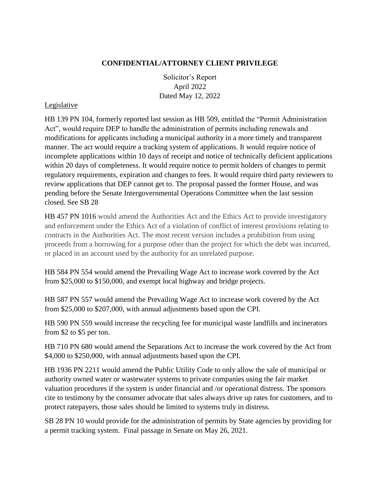## **CONFIDENTIAL/ATTORNEY CLIENT PRIVILEGE**

Solicitor's Report April 2022 Dated May 12, 2022

#### Legislative

HB 139 PN 104, formerly reported last session as HB 509, entitled the "Permit Administration Act", would require DEP to handle the administration of permits including renewals and modifications for applicants including a municipal authority in a more timely and transparent manner. The act would require a tracking system of applications. It would require notice of incomplete applications within 10 days of receipt and notice of technically deficient applications within 20 days of completeness. It would require notice to permit holders of changes to permit regulatory requirements, expiration and changes to fees. It would require third party reviewers to review applications that DEP cannot get to. The proposal passed the former House, and was pending before the Senate Intergovernmental Operations Committee when the last session closed. See SB 28

HB 457 PN 1016 would amend the Authorities Act and the Ethics Act to provide investigatory and enforcement under the Ethics Act of a violation of conflict of interest provisions relating to contracts in the Authorities Act. The most recent version includes a prohibition from using proceeds from a borrowing for a purpose other than the project for which the debt was incurred, or placed in an account used by the authority for an unrelated purpose.

HB 584 PN 554 would amend the Prevailing Wage Act to increase work covered by the Act from \$25,000 to \$150,000, and exempt local highway and bridge projects.

HB 587 PN 557 would amend the Prevailing Wage Act to increase work covered by the Act from \$25,000 to \$207,000, with annual adjustments based upon the CPI.

HB 590 PN 559 would increase the recycling fee for municipal waste landfills and incinerators from \$2 to \$5 per ton.

HB 710 PN 680 would amend the Separations Act to increase the work covered by the Act from \$4,000 to \$250,000, with annual adjustments based upon the CPI.

HB 1936 PN 2211 would amend the Public Utility Code to only allow the sale of municipal or authority owned water or wastewater systems to private companies using the fair market valuation procedures if the system is under financial and /or operational distress. The sponsors cite to testimony by the consumer advocate that sales always drive up rates for customers, and to protect ratepayers, those sales should be limited to systems truly in distress.

SB 28 PN 10 would provide for the administration of permits by State agencies by providing for a permit tracking system. Final passage in Senate on May 26, 2021.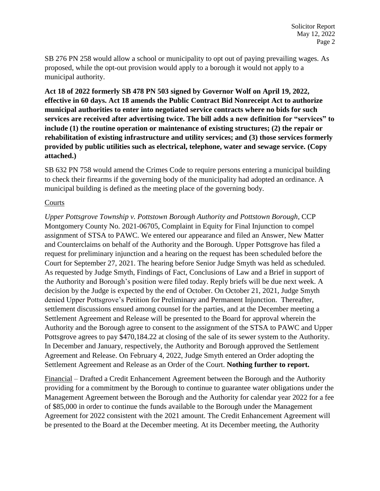SB 276 PN 258 would allow a school or municipality to opt out of paying prevailing wages. As proposed, while the opt-out provision would apply to a borough it would not apply to a municipal authority.

**Act 18 of 2022 formerly SB 478 PN 503 signed by Governor Wolf on April 19, 2022, effective in 60 days. Act 18 amends the Public Contract Bid Nonreceipt Act to authorize municipal authorities to enter into negotiated service contracts where no bids for such services are received after advertising twice. The bill adds a new definition for "services" to include (1) the routine operation or maintenance of existing structures; (2) the repair or rehabilitation of existing infrastructure and utility services; and (3) those services formerly provided by public utilities such as electrical, telephone, water and sewage service. (Copy attached.)**

SB 632 PN 758 would amend the Crimes Code to require persons entering a municipal building to check their firearms if the governing body of the municipality had adopted an ordinance. A municipal building is defined as the meeting place of the governing body.

# Courts

*Upper Pottsgrove Township v. Pottstown Borough Authority and Pottstown Borough*, CCP Montgomery County No. 2021-06705, Complaint in Equity for Final Injunction to compel assignment of STSA to PAWC. We entered our appearance and filed an Answer, New Matter and Counterclaims on behalf of the Authority and the Borough. Upper Pottsgrove has filed a request for preliminary injunction and a hearing on the request has been scheduled before the Court for September 27, 2021. The hearing before Senior Judge Smyth was held as scheduled. As requested by Judge Smyth, Findings of Fact, Conclusions of Law and a Brief in support of the Authority and Borough's position were filed today. Reply briefs will be due next week. A decision by the Judge is expected by the end of October. On October 21, 2021, Judge Smyth denied Upper Pottsgrove's Petition for Preliminary and Permanent Injunction. Thereafter, settlement discussions ensued among counsel for the parties, and at the December meeting a Settlement Agreement and Release will be presented to the Board for approval wherein the Authority and the Borough agree to consent to the assignment of the STSA to PAWC and Upper Pottsgrove agrees to pay \$470,184.22 at closing of the sale of its sewer system to the Authority. In December and January, respectively, the Authority and Borough approved the Settlement Agreement and Release. On February 4, 2022, Judge Smyth entered an Order adopting the Settlement Agreement and Release as an Order of the Court. **Nothing further to report.**

Financial – Drafted a Credit Enhancement Agreement between the Borough and the Authority providing for a commitment by the Borough to continue to guarantee water obligations under the Management Agreement between the Borough and the Authority for calendar year 2022 for a fee of \$85,000 in order to continue the funds available to the Borough under the Management Agreement for 2022 consistent with the 2021 amount. The Credit Enhancement Agreement will be presented to the Board at the December meeting. At its December meeting, the Authority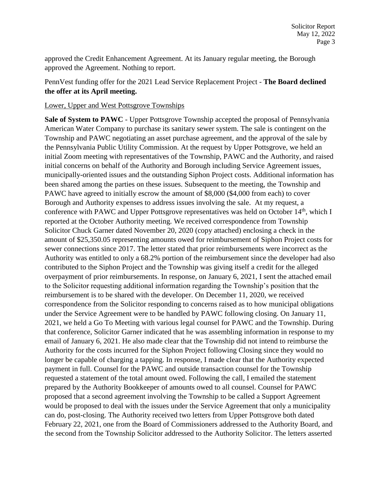approved the Credit Enhancement Agreement. At its January regular meeting, the Borough approved the Agreement. Nothing to report.

# PennVest funding offer for the 2021 Lead Service Replacement Project - **The Board declined the offer at its April meeting.**

## Lower, Upper and West Pottsgrove Townships

**Sale of System to PAWC** - Upper Pottsgrove Township accepted the proposal of Pennsylvania American Water Company to purchase its sanitary sewer system. The sale is contingent on the Township and PAWC negotiating an asset purchase agreement, and the approval of the sale by the Pennsylvania Public Utility Commission. At the request by Upper Pottsgrove, we held an initial Zoom meeting with representatives of the Township, PAWC and the Authority, and raised initial concerns on behalf of the Authority and Borough including Service Agreement issues, municipally-oriented issues and the outstanding Siphon Project costs. Additional information has been shared among the parties on these issues. Subsequent to the meeting, the Township and PAWC have agreed to initially escrow the amount of \$8,000 (\$4,000 from each) to cover Borough and Authority expenses to address issues involving the sale. At my request, a conference with PAWC and Upper Pottsgrove representatives was held on October 14<sup>th</sup>, which I reported at the October Authority meeting. We received correspondence from Township Solicitor Chuck Garner dated November 20, 2020 (copy attached) enclosing a check in the amount of \$25,350.05 representing amounts owed for reimbursement of Siphon Project costs for sewer connections since 2017. The letter stated that prior reimbursements were incorrect as the Authority was entitled to only a 68.2% portion of the reimbursement since the developer had also contributed to the Siphon Project and the Township was giving itself a credit for the alleged overpayment of prior reimbursements. In response, on January 6, 2021, I sent the attached email to the Solicitor requesting additional information regarding the Township's position that the reimbursement is to be shared with the developer. On December 11, 2020, we received correspondence from the Solicitor responding to concerns raised as to how municipal obligations under the Service Agreement were to be handled by PAWC following closing. On January 11, 2021, we held a Go To Meeting with various legal counsel for PAWC and the Township. During that conference, Solicitor Garner indicated that he was assembling information in response to my email of January 6, 2021. He also made clear that the Township did not intend to reimburse the Authority for the costs incurred for the Siphon Project following Closing since they would no longer be capable of charging a tapping. In response, I made clear that the Authority expected payment in full. Counsel for the PAWC and outside transaction counsel for the Township requested a statement of the total amount owed. Following the call, I emailed the statement prepared by the Authority Bookkeeper of amounts owed to all counsel. Counsel for PAWC proposed that a second agreement involving the Township to be called a Support Agreement would be proposed to deal with the issues under the Service Agreement that only a municipality can do, post-closing. The Authority received two letters from Upper Pottsgrove both dated February 22, 2021, one from the Board of Commissioners addressed to the Authority Board, and the second from the Township Solicitor addressed to the Authority Solicitor. The letters asserted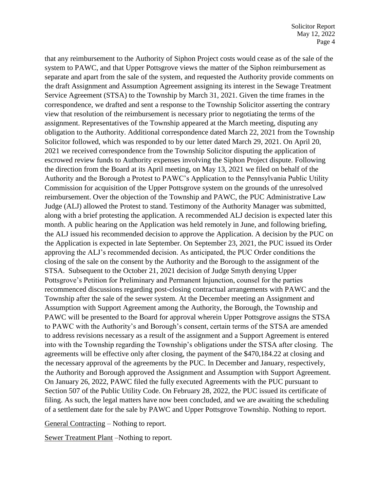that any reimbursement to the Authority of Siphon Project costs would cease as of the sale of the system to PAWC, and that Upper Pottsgrove views the matter of the Siphon reimbursement as separate and apart from the sale of the system, and requested the Authority provide comments on the draft Assignment and Assumption Agreement assigning its interest in the Sewage Treatment Service Agreement (STSA) to the Township by March 31, 2021. Given the time frames in the correspondence, we drafted and sent a response to the Township Solicitor asserting the contrary view that resolution of the reimbursement is necessary prior to negotiating the terms of the assignment. Representatives of the Township appeared at the March meeting, disputing any obligation to the Authority. Additional correspondence dated March 22, 2021 from the Township Solicitor followed, which was responded to by our letter dated March 29, 2021. On April 20, 2021 we received correspondence from the Township Solicitor disputing the application of escrowed review funds to Authority expenses involving the Siphon Project dispute. Following the direction from the Board at its April meeting, on May 13, 2021 we filed on behalf of the Authority and the Borough a Protest to PAWC's Application to the Pennsylvania Public Utility Commission for acquisition of the Upper Pottsgrove system on the grounds of the unresolved reimbursement. Over the objection of the Township and PAWC, the PUC Administrative Law Judge (ALJ) allowed the Protest to stand. Testimony of the Authority Manager was submitted, along with a brief protesting the application. A recommended ALJ decision is expected later this month. A public hearing on the Application was held remotely in June, and following briefing, the ALJ issued his recommended decision to approve the Application. A decision by the PUC on the Application is expected in late September. On September 23, 2021, the PUC issued its Order approving the ALJ's recommended decision. As anticipated, the PUC Order conditions the closing of the sale on the consent by the Authority and the Borough to the assignment of the STSA. Subsequent to the October 21, 2021 decision of Judge Smyth denying Upper Pottsgrove's Petition for Preliminary and Permanent Injunction, counsel for the parties recommenced discussions regarding post-closing contractual arrangements with PAWC and the Township after the sale of the sewer system. At the December meeting an Assignment and Assumption with Support Agreement among the Authority, the Borough, the Township and PAWC will be presented to the Board for approval wherein Upper Pottsgrove assigns the STSA to PAWC with the Authority's and Borough's consent, certain terms of the STSA are amended to address revisions necessary as a result of the assignment and a Support Agreement is entered into with the Township regarding the Township's obligations under the STSA after closing. The agreements will be effective only after closing, the payment of the \$470,184.22 at closing and the necessary approval of the agreements by the PUC. In December and January, respectively, the Authority and Borough approved the Assignment and Assumption with Support Agreement. On January 26, 2022, PAWC filed the fully executed Agreements with the PUC pursuant to Section 507 of the Public Utility Code. On February 28, 2022, the PUC issued its certificate of filing. As such, the legal matters have now been concluded, and we are awaiting the scheduling of a settlement date for the sale by PAWC and Upper Pottsgrove Township. Nothing to report.

General Contracting – Nothing to report.

Sewer Treatment Plant –Nothing to report.